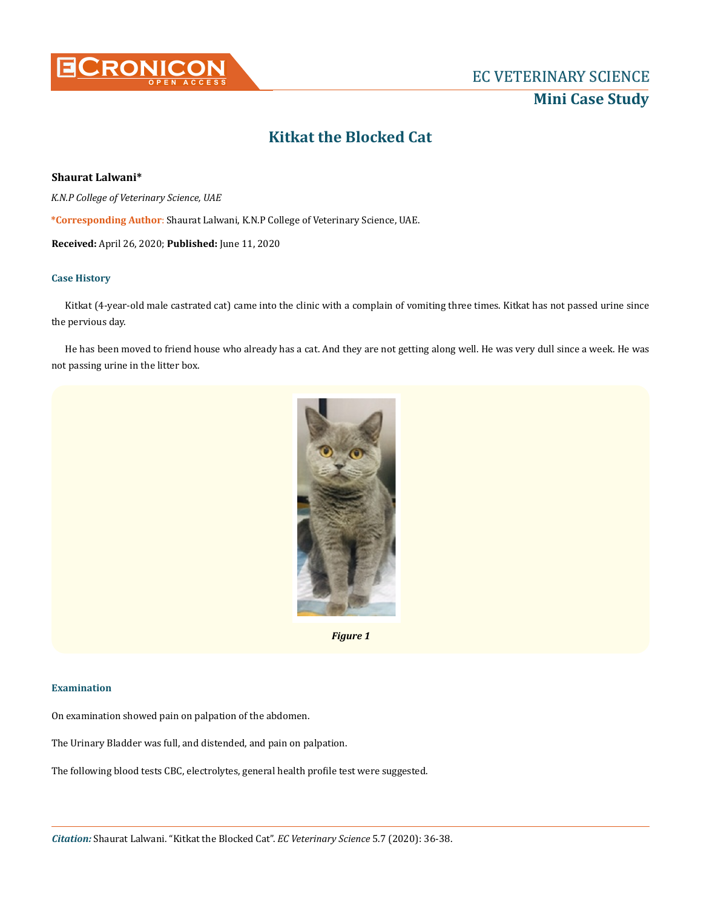

# **Kitkat the Blocked Cat**

# **Shaurat Lalwani\***

*K.N.P College of Veterinary Science, UAE* 

**\*Corresponding Author**: Shaurat Lalwani, K.N.P College of Veterinary Science, UAE.

**Received:** April 26, 2020; **Published:** June 11, 2020

### **Case History**

Kitkat (4-year-old male castrated cat) came into the clinic with a complain of vomiting three times. Kitkat has not passed urine since the pervious day.

He has been moved to friend house who already has a cat. And they are not getting along well. He was very dull since a week. He was not passing urine in the litter box.



*Figure 1*

### **Examination**

On examination showed pain on palpation of the abdomen.

The Urinary Bladder was full, and distended, and pain on palpation.

The following blood tests CBC, electrolytes, general health profile test were suggested.

*Citation:* Shaurat Lalwani. "Kitkat the Blocked Cat". *EC Veterinary Science* 5.7 (2020): 36-38.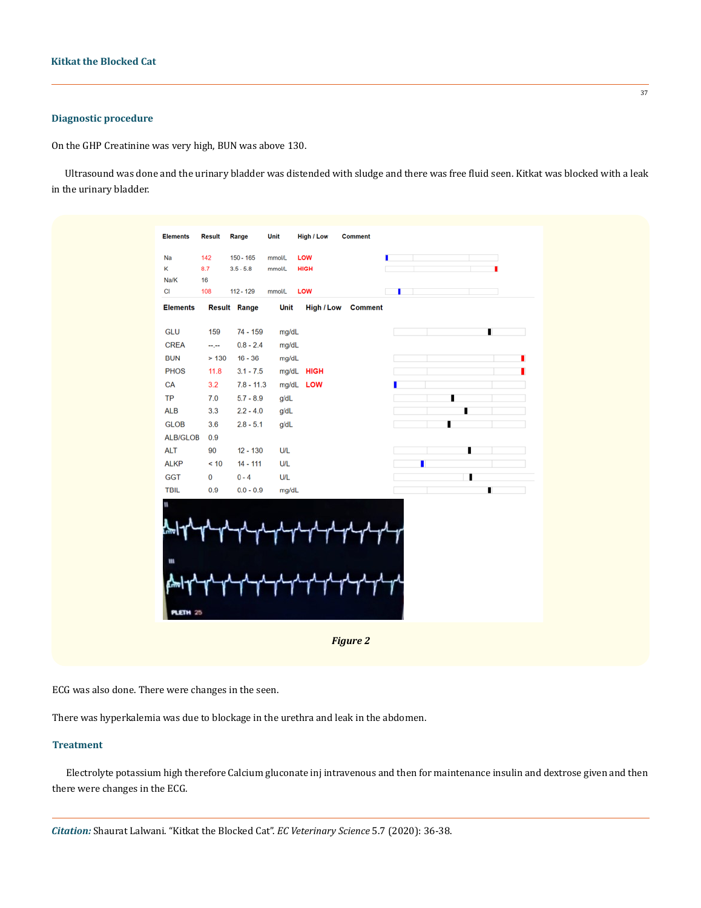#### **Diagnostic procedure**

On the GHP Creatinine was very high, BUN was above 130.

Ultrasound was done and the urinary bladder was distended with sludge and there was free fluid seen. Kitkat was blocked with a leak in the urinary bladder.

| Na<br>к         | 142         | $150 - 165$         | mmol/L      | LOW         |                    |   |
|-----------------|-------------|---------------------|-------------|-------------|--------------------|---|
|                 | 8.7         | $3.5 - 5.8$         | mmol/L      | <b>HIGH</b> |                    | т |
| Na/K            | 16          |                     |             |             |                    |   |
| CI              | 108         | 112 - 129           | mmol/L      | LOW         |                    | т |
| <b>Elements</b> |             | <b>Result Range</b> | <b>Unit</b> |             | High / Low Comment |   |
| <b>GLU</b>      | 159         | 74 - 159            | mg/dL       |             |                    | п |
| <b>CREA</b>     | --.-        | $0.8 - 2.4$         | mg/dL       |             |                    |   |
| <b>BUN</b>      | > 130       | $16 - 36$           | mg/dL       |             |                    |   |
| <b>PHOS</b>     | 11.8        | $3.1 - 7.5$         |             | mg/dL HIGH  |                    |   |
| CA              | 3.2         | $7.8 - 11.3$        |             | mg/dL LOW   |                    |   |
| <b>TP</b>       | 7.0         | $5.7 - 8.9$         | g/dL        |             |                    |   |
| <b>ALB</b>      | 3.3         | $2.2 - 4.0$         | g/dL        |             |                    |   |
| <b>GLOB</b>     | 3.6         | $2.8 - 5.1$         | g/dL        |             |                    | п |
| ALB/GLOB        | 0.9         |                     |             |             |                    |   |
| <b>ALT</b>      | 90          | $12 - 130$          | <b>U/L</b>  |             |                    | п |
| <b>ALKP</b>     | < 10        | $14 - 111$          | <b>U/L</b>  |             |                    | П |
| <b>GGT</b>      | $\mathbf 0$ | $0 - 4$             | <b>U/L</b>  |             |                    | ı |
| <b>TBIL</b>     | 0.9         | $0.0 - 0.9$         | mg/dL       |             |                    | п |

ECG was also done. There were changes in the seen.

There was hyperkalemia was due to blockage in the urethra and leak in the abdomen.

# **Treatment**

Electrolyte potassium high therefore Calcium gluconate inj intravenous and then for maintenance insulin and dextrose given and then there were changes in the ECG.

*Citation:* Shaurat Lalwani. "Kitkat the Blocked Cat". *EC Veterinary Science* 5.7 (2020): 36-38.